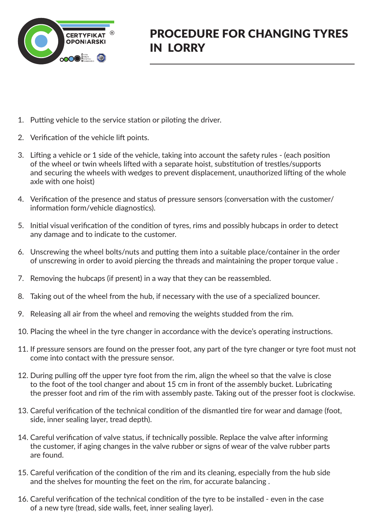

## PROCEDURE FOR CHANGING TYRES IN LORRY

- 1. Putting vehicle to the service station or piloting the driver.
- 2. Verification of the vehicle lift points.
- 3. Lifting a vehicle or 1 side of the vehicle, taking into account the safety rules (each position of the wheel or twin wheels lifted with a separate hoist, substitution of trestles/supports and securing the wheels with wedges to prevent displacement, unauthorized lifting of the whole axle with one hoist)
- 4. Verification of the presence and status of pressure sensors (conversation with the customer/ information form/vehicle diagnostics).
- 5. Initial visual verification of the condition of tyres, rims and possibly hubcaps in order to detect any damage and to indicate to the customer.
- 6. Unscrewing the wheel bolts/nuts and putting them into a suitable place/container in the order of unscrewing in order to avoid piercing the threads and maintaining the proper torque value .
- 7. Removing the hubcaps (if present) in a way that they can be reassembled.
- 8. Taking out of the wheel from the hub, if necessary with the use of a specialized bouncer.
- 9. Releasing all air from the wheel and removing the weights studded from the rim.
- 10. Placing the wheel in the tyre changer in accordance with the device's operating instructions.
- 11. If pressure sensors are found on the presser foot, any part of the tyre changer or tyre foot must not come into contact with the pressure sensor.
- 12. During pulling off the upper tyre foot from the rim, align the wheel so that the valve is close to the foot of the tool changer and about 15 cm in front of the assembly bucket. Lubricating the presser foot and rim of the rim with assembly paste. Taking out of the presser foot is clockwise.
- 13. Careful verification of the technical condition of the dismantled tire for wear and damage (foot, side, inner sealing layer, tread depth).
- 14. Careful verification of valve status, if technically possible. Replace the valve after informing the customer, if aging changes in the valve rubber or signs of wear of the valve rubber parts are found.
- 15. Careful verification of the condition of the rim and its cleaning, especially from the hub side and the shelves for mounting the feet on the rim, for accurate balancing .
- 16. Careful verification of the technical condition of the tyre to be installed even in the case of a new tyre (tread, side walls, feet, inner sealing layer).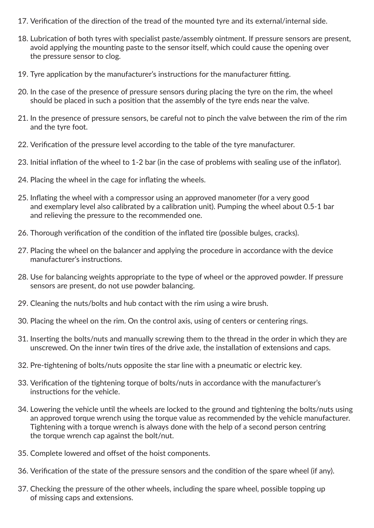- 17. Verification of the direction of the tread of the mounted tyre and its external/internal side.
- 18. Lubrication of both tyres with specialist paste/assembly ointment. If pressure sensors are present, avoid applying the mounting paste to the sensor itself, which could cause the opening over the pressure sensor to clog.
- 19. Tyre application by the manufacturer's instructions for the manufacturer fitting.
- 20. In the case of the presence of pressure sensors during placing the tyre on the rim, the wheel should be placed in such a position that the assembly of the tyre ends near the valve.
- 21. In the presence of pressure sensors, be careful not to pinch the valve between the rim of the rim and the tyre foot.
- 22. Verification of the pressure level according to the table of the tyre manufacturer.
- 23. Initial inflation of the wheel to 1-2 bar (in the case of problems with sealing use of the inflator).
- 24. Placing the wheel in the cage for inflating the wheels.
- 25. Inflating the wheel with a compressor using an approved manometer (for a very good and exemplary level also calibrated by a calibration unit). Pumping the wheel about 0.5-1 bar and relieving the pressure to the recommended one.
- 26. Thorough verification of the condition of the inflated tire (possible bulges, cracks).
- 27. Placing the wheel on the balancer and applying the procedure in accordance with the device manufacturer's instructions.
- 28. Use for balancing weights appropriate to the type of wheel or the approved powder. If pressure sensors are present, do not use powder balancing.
- 29. Cleaning the nuts/bolts and hub contact with the rim using a wire brush.
- 30. Placing the wheel on the rim. On the control axis, using of centers or centering rings.
- 31. Inserting the bolts/nuts and manually screwing them to the thread in the order in which they are unscrewed. On the inner twin tires of the drive axle, the installation of extensions and caps.
- 32. Pre-tightening of bolts/nuts opposite the star line with a pneumatic or electric key.
- 33. Verification of the tightening torque of bolts/nuts in accordance with the manufacturer's instructions for the vehicle.
- 34. Lowering the vehicle until the wheels are locked to the ground and tightening the bolts/nuts using an approved torque wrench using the torque value as recommended by the vehicle manufacturer. Tightening with a torque wrench is always done with the help of a second person centring the torque wrench cap against the bolt/nut.
- 35. Complete lowered and offset of the hoist components.
- 36. Verification of the state of the pressure sensors and the condition of the spare wheel (if any).
- 37. Checking the pressure of the other wheels, including the spare wheel, possible topping up of missing caps and extensions.